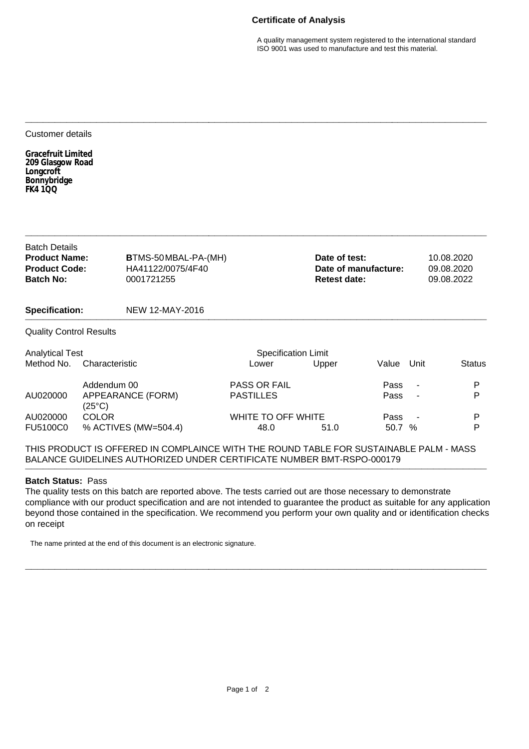## **Certificate of Analysis**

A quality management system registered to the international standard ISO 9001 was used to manufacture and test this material.

## Customer details

**Gracefruit Limited 209 Glasgow Road Longcroft Bonnybridge FK4 1QQ**

| <b>Batch Details</b><br><b>Product Name:</b><br><b>Product Code:</b><br><b>Batch No:</b><br><b>Specification:</b> |                                      | <b>BTMS-50MBAL-PA-(MH)</b><br>HA41122/0075/4F40<br>0001721255 |                     | Date of test:<br>Date of manufacture:<br><b>Retest date:</b> |       |                | 10.08.2020<br>09.08.2020<br>09.08.2022 |  |
|-------------------------------------------------------------------------------------------------------------------|--------------------------------------|---------------------------------------------------------------|---------------------|--------------------------------------------------------------|-------|----------------|----------------------------------------|--|
|                                                                                                                   |                                      | NEW 12-MAY-2016                                               |                     |                                                              |       |                |                                        |  |
| <b>Quality Control Results</b>                                                                                    |                                      |                                                               |                     |                                                              |       |                |                                        |  |
| <b>Analytical Test</b>                                                                                            |                                      | <b>Specification Limit</b>                                    |                     |                                                              |       |                |                                        |  |
| Method No.                                                                                                        | Characteristic                       |                                                               | Lower               | Upper                                                        | Value | Unit           | <b>Status</b>                          |  |
|                                                                                                                   | Addendum 00                          |                                                               | <b>PASS OR FAIL</b> |                                                              | Pass  | $\sim$         | P                                      |  |
| AU020000                                                                                                          | APPEARANCE (FORM)<br>$(25^{\circ}C)$ |                                                               | <b>PASTILLES</b>    |                                                              | Pass  | $\blacksquare$ | P                                      |  |
| AU020000                                                                                                          | COLOR                                |                                                               |                     | WHITE TO OFF WHITE                                           |       |                | P                                      |  |

**\_\_\_\_\_\_\_\_\_\_\_\_\_\_\_\_\_\_\_\_\_\_\_\_\_\_\_\_\_\_\_\_\_\_\_\_\_\_\_\_\_\_\_\_\_\_\_\_\_\_\_\_\_\_\_\_\_\_\_\_\_\_\_\_\_\_\_\_\_\_\_\_\_\_\_\_\_\_**

**\_\_\_\_\_\_\_\_\_\_\_\_\_\_\_\_\_\_\_\_\_\_\_\_\_\_\_\_\_\_\_\_\_\_\_\_\_\_\_\_\_\_\_\_\_\_\_\_\_\_\_\_\_\_\_\_\_\_\_\_\_\_\_\_\_\_\_\_\_\_\_\_\_\_\_\_\_\_**

THIS PRODUCT IS OFFERED IN COMPLAINCE WITH THE ROUND TABLE FOR SUSTAINABLE PALM - MASS BALANCE GUIDELINES AUTHORIZED UNDER CERTIFICATE NUMBER BMT-RSPO-000179 **\_\_\_\_\_\_\_\_\_\_\_\_\_\_\_\_\_\_\_\_\_\_\_\_\_\_\_\_\_\_\_\_\_\_\_\_\_\_\_\_\_\_\_\_\_\_\_\_\_\_\_\_\_\_\_\_\_\_\_\_\_\_\_\_\_\_\_\_\_\_\_\_\_\_\_\_\_\_**

FU5100C0 % ACTIVES (MW=504.4) 48.0 51.0 50.7 % P

## **Batch Status:** Pass

The quality tests on this batch are reported above. The tests carried out are those necessary to demonstrate compliance with our product specification and are not intended to guarantee the product as suitable for any application beyond those contained in the specification. We recommend you perform your own quality and or identification checks on receipt

**\_\_\_\_\_\_\_\_\_\_\_\_\_\_\_\_\_\_\_\_\_\_\_\_\_\_\_\_\_\_\_\_\_\_\_\_\_\_\_\_\_\_\_\_\_\_\_\_\_\_\_\_\_\_\_\_\_\_\_\_\_\_\_\_\_\_\_\_\_\_\_\_\_\_\_\_\_\_**

The name printed at the end of this document is an electronic signature.